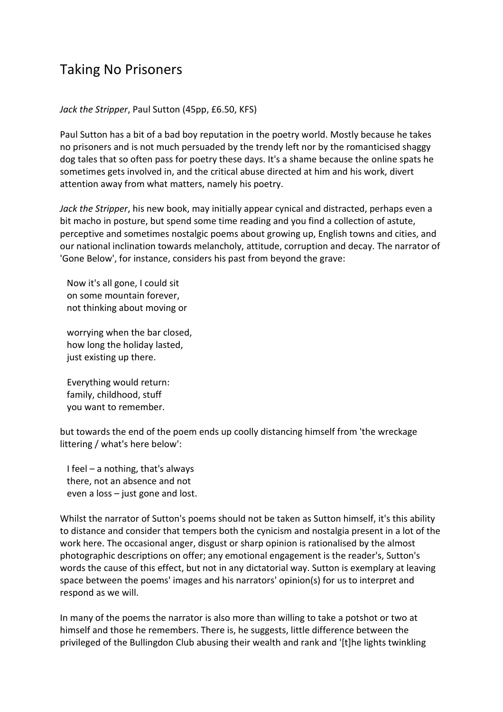## Taking No Prisoners

## *Jack the Stripper*, Paul Sutton (45pp, £6.50, KFS)

Paul Sutton has a bit of a bad boy reputation in the poetry world. Mostly because he takes no prisoners and is not much persuaded by the trendy left nor by the romanticised shaggy dog tales that so often pass for poetry these days. It's a shame because the online spats he sometimes gets involved in, and the critical abuse directed at him and his work, divert attention away from what matters, namely his poetry.

*Jack the Stripper*, his new book, may initially appear cynical and distracted, perhaps even a bit macho in posture, but spend some time reading and you find a collection of astute, perceptive and sometimes nostalgic poems about growing up, English towns and cities, and our national inclination towards melancholy, attitude, corruption and decay. The narrator of 'Gone Below', for instance, considers his past from beyond the grave:

 Now it's all gone, I could sit on some mountain forever, not thinking about moving or

 worrying when the bar closed, how long the holiday lasted, just existing up there.

 Everything would return: family, childhood, stuff you want to remember.

but towards the end of the poem ends up coolly distancing himself from 'the wreckage littering / what's here below':

 I feel – a nothing, that's always there, not an absence and not even a loss – just gone and lost.

Whilst the narrator of Sutton's poems should not be taken as Sutton himself, it's this ability to distance and consider that tempers both the cynicism and nostalgia present in a lot of the work here. The occasional anger, disgust or sharp opinion is rationalised by the almost photographic descriptions on offer; any emotional engagement is the reader's, Sutton's words the cause of this effect, but not in any dictatorial way. Sutton is exemplary at leaving space between the poems' images and his narrators' opinion(s) for us to interpret and respond as we will.

In many of the poems the narrator is also more than willing to take a potshot or two at himself and those he remembers. There is, he suggests, little difference between the privileged of the Bullingdon Club abusing their wealth and rank and '[t]he lights twinkling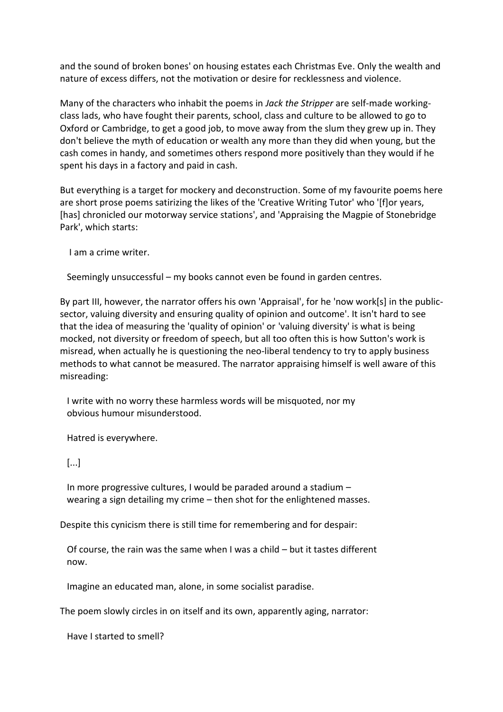and the sound of broken bones' on housing estates each Christmas Eve. Only the wealth and nature of excess differs, not the motivation or desire for recklessness and violence.

Many of the characters who inhabit the poems in *Jack the Stripper* are self-made workingclass lads, who have fought their parents, school, class and culture to be allowed to go to Oxford or Cambridge, to get a good job, to move away from the slum they grew up in. They don't believe the myth of education or wealth any more than they did when young, but the cash comes in handy, and sometimes others respond more positively than they would if he spent his days in a factory and paid in cash.

But everything is a target for mockery and deconstruction. Some of my favourite poems here are short prose poems satirizing the likes of the 'Creative Writing Tutor' who '[f]or years, [has] chronicled our motorway service stations', and 'Appraising the Magpie of Stonebridge Park', which starts:

I am a crime writer.

Seemingly unsuccessful – my books cannot even be found in garden centres.

By part III, however, the narrator offers his own 'Appraisal', for he 'now work[s] in the publicsector, valuing diversity and ensuring quality of opinion and outcome'. It isn't hard to see that the idea of measuring the 'quality of opinion' or 'valuing diversity' is what is being mocked, not diversity or freedom of speech, but all too often this is how Sutton's work is misread, when actually he is questioning the neo-liberal tendency to try to apply business methods to what cannot be measured. The narrator appraising himself is well aware of this misreading:

 I write with no worry these harmless words will be misquoted, nor my obvious humour misunderstood.

Hatred is everywhere.

[...]

 In more progressive cultures, I would be paraded around a stadium – wearing a sign detailing my crime – then shot for the enlightened masses.

Despite this cynicism there is still time for remembering and for despair:

 Of course, the rain was the same when I was a child – but it tastes different now.

Imagine an educated man, alone, in some socialist paradise.

The poem slowly circles in on itself and its own, apparently aging, narrator:

Have I started to smell?